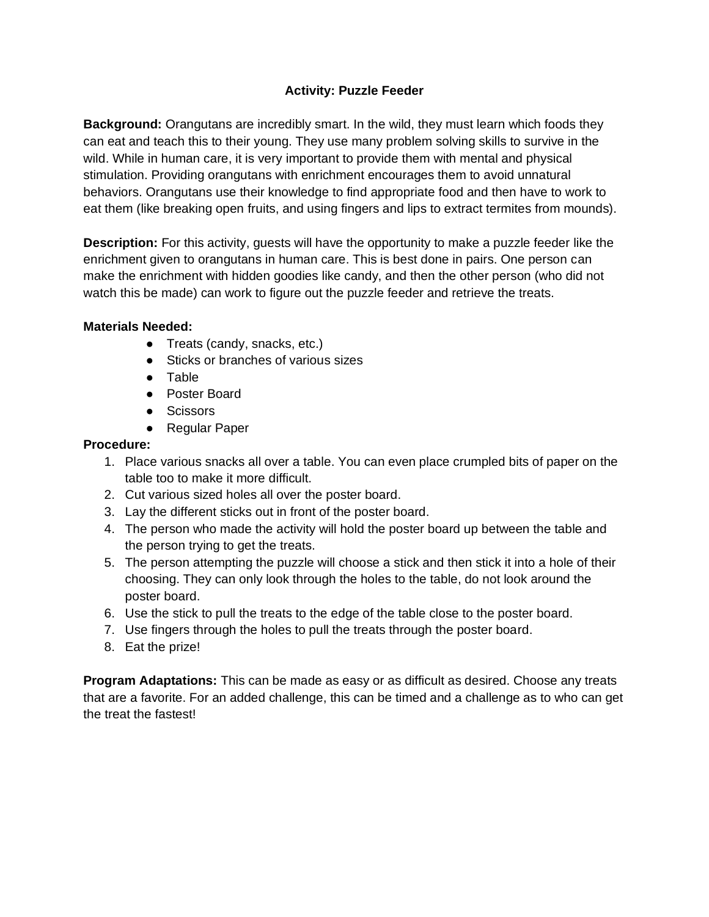## **Activity: Puzzle Feeder**

**Background:** Orangutans are incredibly smart. In the wild, they must learn which foods they can eat and teach this to their young. They use many problem solving skills to survive in the wild. While in human care, it is very important to provide them with mental and physical stimulation. Providing orangutans with enrichment encourages them to avoid unnatural behaviors. Orangutans use their knowledge to find appropriate food and then have to work to eat them (like breaking open fruits, and using fingers and lips to extract termites from mounds).

**Description:** For this activity, guests will have the opportunity to make a puzzle feeder like the enrichment given to orangutans in human care. This is best done in pairs. One person can make the enrichment with hidden goodies like candy, and then the other person (who did not watch this be made) can work to figure out the puzzle feeder and retrieve the treats.

## **Materials Needed:**

- Treats (candy, snacks, etc.)
- Sticks or branches of various sizes
- Table
- Poster Board
- Scissors
- Regular Paper

## **Procedure:**

- 1. Place various snacks all over a table. You can even place crumpled bits of paper on the table too to make it more difficult.
- 2. Cut various sized holes all over the poster board.
- 3. Lay the different sticks out in front of the poster board.
- 4. The person who made the activity will hold the poster board up between the table and the person trying to get the treats.
- 5. The person attempting the puzzle will choose a stick and then stick it into a hole of their choosing. They can only look through the holes to the table, do not look around the poster board.
- 6. Use the stick to pull the treats to the edge of the table close to the poster board.
- 7. Use fingers through the holes to pull the treats through the poster board.
- 8. Eat the prize!

**Program Adaptations:** This can be made as easy or as difficult as desired. Choose any treats that are a favorite. For an added challenge, this can be timed and a challenge as to who can get the treat the fastest!